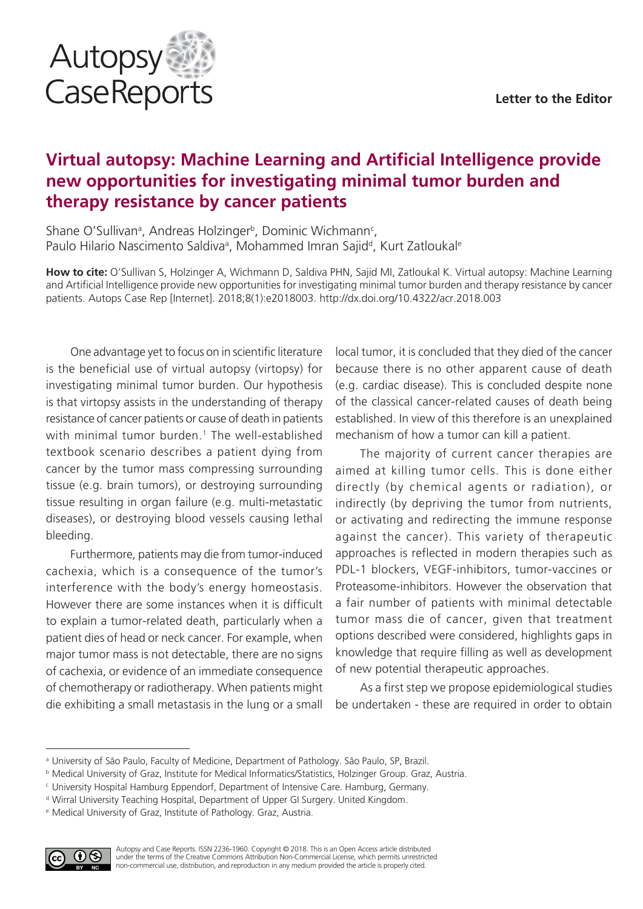

# **Virtual autopsy: Machine Learning and Artificial Intelligence provide new opportunities for investigating minimal tumor burden and therapy resistance by cancer patients**

Shane O'Sullivan<sup>a</sup>, Andreas Holzinger<sup>b</sup>, Dominic Wichmann<sup>c</sup>, Paulo Hilario Nascimento Saldiva<sup>a</sup>, Mohammed Imran Sajid<sup>d</sup>, Kurt Zatloukal<sup>e</sup>

**How to cite:** O'Sullivan S, Holzinger A, Wichmann D, Saldiva PHN, Sajid MI, Zatloukal K. Virtual autopsy: Machine Learning and Artificial Intelligence provide new opportunities for investigating minimal tumor burden and therapy resistance by cancer patients. Autops Case Rep [Internet]. 2018;8(1):e2018003. http://dx.doi.org/10.4322/acr.2018.003

One advantage yet to focus on in scientific literature is the beneficial use of virtual autopsy (virtopsy) for investigating minimal tumor burden. Our hypothesis is that virtopsy assists in the understanding of therapy resistance of cancer patients or cause of death in patients with minimal tumor burden.<sup>1</sup> The well-established textbook scenario describes a patient dying from cancer by the tumor mass compressing surrounding tissue (e.g. brain tumors), or destroying surrounding tissue resulting in organ failure (e.g. multi-metastatic diseases), or destroying blood vessels causing lethal bleeding.

Furthermore, patients may die from tumor-induced cachexia, which is a consequence of the tumor's interference with the body's energy homeostasis. However there are some instances when it is difficult to explain a tumor-related death, particularly when a patient dies of head or neck cancer. For example, when major tumor mass is not detectable, there are no signs of cachexia, or evidence of an immediate consequence of chemotherapy or radiotherapy. When patients might die exhibiting a small metastasis in the lung or a small local tumor, it is concluded that they died of the cancer because there is no other apparent cause of death (e.g. cardiac disease). This is concluded despite none of the classical cancer-related causes of death being established. In view of this therefore is an unexplained mechanism of how a tumor can kill a patient.

The majority of current cancer therapies are aimed at killing tumor cells. This is done either directly (by chemical agents or radiation), or indirectly (by depriving the tumor from nutrients, or activating and redirecting the immune response against the cancer). This variety of therapeutic approaches is reflected in modern therapies such as PDL-1 blockers, VEGF-inhibitors, tumor-vaccines or Proteasome-inhibitors. However the observation that a fair number of patients with minimal detectable tumor mass die of cancer, given that treatment options described were considered, highlights gaps in knowledge that require filling as well as development of new potential therapeutic approaches.

As a first step we propose epidemiological studies be undertaken - these are required in order to obtain

<sup>e</sup> Medical University of Graz, Institute of Pathology. Graz, Austria.



<sup>a</sup> University of São Paulo, Faculty of Medicine, Department of Pathology. São Paulo, SP, Brazil.

<sup>b</sup> Medical University of Graz, Institute for Medical Informatics/Statistics, Holzinger Group. Graz, Austria.

<sup>c</sup> University Hospital Hamburg Eppendorf, Department of Intensive Care. Hamburg, Germany.

<sup>d</sup> Wirral University Teaching Hospital, Department of Upper GI Surgery. United Kingdom.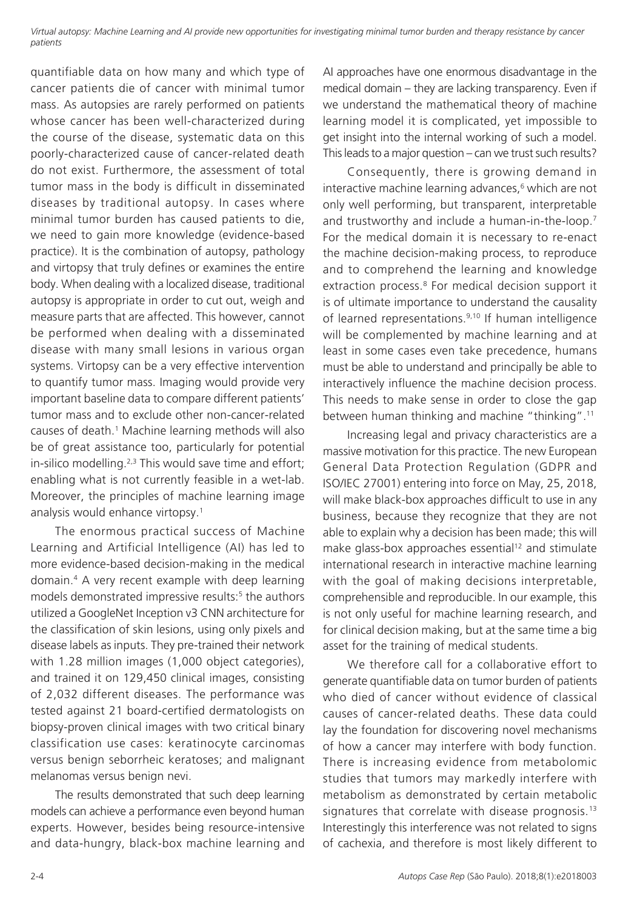*Virtual autopsy: Machine Learning and AI provide new opportunities for investigating minimal tumor burden and therapy resistance by cancer patients*

quantifiable data on how many and which type of cancer patients die of cancer with minimal tumor mass. As autopsies are rarely performed on patients whose cancer has been well-characterized during the course of the disease, systematic data on this poorly-characterized cause of cancer-related death do not exist. Furthermore, the assessment of total tumor mass in the body is difficult in disseminated diseases by traditional autopsy. In cases where minimal tumor burden has caused patients to die, we need to gain more knowledge (evidence-based practice). It is the combination of autopsy, pathology and virtopsy that truly defines or examines the entire body. When dealing with a localized disease, traditional autopsy is appropriate in order to cut out, weigh and measure parts that are affected. This however, cannot be performed when dealing with a disseminated disease with many small lesions in various organ systems. Virtopsy can be a very effective intervention to quantify tumor mass. Imaging would provide very important baseline data to compare different patients' tumor mass and to exclude other non-cancer-related causes of death.1 Machine learning methods will also be of great assistance too, particularly for potential in-silico modelling.<sup>2,3</sup> This would save time and effort; enabling what is not currently feasible in a wet-lab. Moreover, the principles of machine learning image analysis would enhance virtopsy.1

The enormous practical success of Machine Learning and Artificial Intelligence (AI) has led to more evidence-based decision-making in the medical domain.4 A very recent example with deep learning models demonstrated impressive results:<sup>5</sup> the authors utilized a GoogleNet Inception v3 CNN architecture for the classification of skin lesions, using only pixels and disease labels as inputs. They pre-trained their network with 1.28 million images (1,000 object categories), and trained it on 129,450 clinical images, consisting of 2,032 different diseases. The performance was tested against 21 board-certified dermatologists on biopsy-proven clinical images with two critical binary classification use cases: keratinocyte carcinomas versus benign seborrheic keratoses; and malignant melanomas versus benign nevi.

The results demonstrated that such deep learning models can achieve a performance even beyond human experts. However, besides being resource-intensive and data-hungry, black-box machine learning and

AI approaches have one enormous disadvantage in the medical domain – they are lacking transparency. Even if we understand the mathematical theory of machine learning model it is complicated, yet impossible to get insight into the internal working of such a model. This leads to a major question – can we trust such results?

Consequently, there is growing demand in interactive machine learning advances,<sup>6</sup> which are not only well performing, but transparent, interpretable and trustworthy and include a human-in-the-loop.7 For the medical domain it is necessary to re-enact the machine decision-making process, to reproduce and to comprehend the learning and knowledge extraction process.<sup>8</sup> For medical decision support it is of ultimate importance to understand the causality of learned representations.<sup>9,10</sup> If human intelligence will be complemented by machine learning and at least in some cases even take precedence, humans must be able to understand and principally be able to interactively influence the machine decision process. This needs to make sense in order to close the gap between human thinking and machine "thinking".11

Increasing legal and privacy characteristics are a massive motivation for this practice. The new European General Data Protection Regulation (GDPR and ISO/IEC 27001) entering into force on May, 25, 2018, will make black-box approaches difficult to use in any business, because they recognize that they are not able to explain why a decision has been made; this will make glass-box approaches essential<sup>12</sup> and stimulate international research in interactive machine learning with the goal of making decisions interpretable, comprehensible and reproducible. In our example, this is not only useful for machine learning research, and for clinical decision making, but at the same time a big asset for the training of medical students.

We therefore call for a collaborative effort to generate quantifiable data on tumor burden of patients who died of cancer without evidence of classical causes of cancer-related deaths. These data could lay the foundation for discovering novel mechanisms of how a cancer may interfere with body function. There is increasing evidence from metabolomic studies that tumors may markedly interfere with metabolism as demonstrated by certain metabolic signatures that correlate with disease prognosis.<sup>13</sup> Interestingly this interference was not related to signs of cachexia, and therefore is most likely different to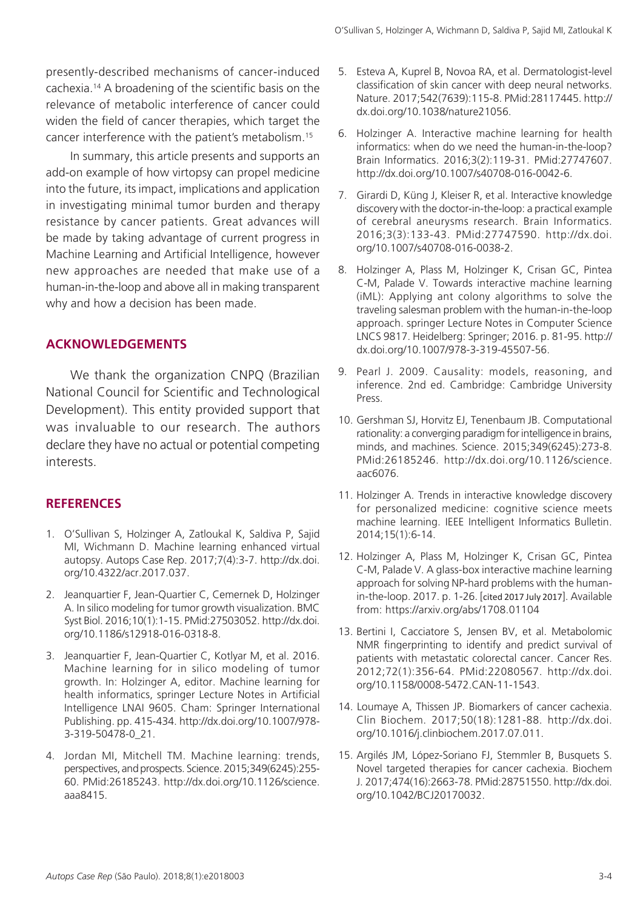presently-described mechanisms of cancer-induced cachexia.14 A broadening of the scientific basis on the relevance of metabolic interference of cancer could widen the field of cancer therapies, which target the cancer interference with the patient's metabolism.15

In summary, this article presents and supports an add-on example of how virtopsy can propel medicine into the future, its impact, implications and application in investigating minimal tumor burden and therapy resistance by cancer patients. Great advances will be made by taking advantage of current progress in Machine Learning and Artificial Intelligence, however new approaches are needed that make use of a human-in-the-loop and above all in making transparent why and how a decision has been made.

## **ACKNOWLEDGEMENTS**

We thank the organization CNPQ (Brazilian National Council for Scientific and Technological Development). This entity provided support that was invaluable to our research. The authors declare they have no actual or potential competing interests.

### **REFERENCES**

- 1. O'Sullivan S, Holzinger A, Zatloukal K, Saldiva P, Sajid MI, Wichmann D. Machine learning enhanced virtual autopsy. Autops Case Rep. 2017;7(4):3-7. [http://dx.doi.](http://dx.doi.org/10.4322/acr.2017.037) [org/10.4322/acr.2017.037.](http://dx.doi.org/10.4322/acr.2017.037)
- 2. Jeanquartier F, Jean-Quartier C, Cemernek D, Holzinger A. In silico modeling for tumor growth visualization. BMC Syst Biol. 2016;10(1):1-15. [PMid:27503052.](http://www.ncbi.nlm.nih.gov/entrez/query.fcgi?cmd=Retrieve&db=PubMed&list_uids=27503052&dopt=Abstract) [http://dx.doi.](http://dx.doi.org/10.1186/s12918-016-0318-8) [org/10.1186/s12918-016-0318-8.](http://dx.doi.org/10.1186/s12918-016-0318-8)
- 3. Jeanquartier F, Jean-Quartier C, Kotlyar M, et al. 2016. Machine learning for in silico modeling of tumor growth. In: Holzinger A, editor. Machine learning for health informatics, springer Lecture Notes in Artificial Intelligence LNAI 9605. Cham: Springer International Publishing. pp. 415-434. http://dx.doi.org/10.1007/978- 3-319-50478-0\_21.
- 4. Jordan MI, Mitchell TM. Machine learning: trends, perspectives, and prospects. Science. 2015;349(6245):255- 60. [PMid:26185243.](http://www.ncbi.nlm.nih.gov/entrez/query.fcgi?cmd=Retrieve&db=PubMed&list_uids=26185243&dopt=Abstract) [http://dx.doi.org/10.1126/science.](http://dx.doi.org/10.1126/science.aaa8415) [aaa8415.](http://dx.doi.org/10.1126/science.aaa8415)
- 5. Esteva A, Kuprel B, Novoa RA, et al. Dermatologist-level classification of skin cancer with deep neural networks. Nature. 2017;542(7639):115-8. [PMid:28117445.](http://www.ncbi.nlm.nih.gov/entrez/query.fcgi?cmd=Retrieve&db=PubMed&list_uids=28117445&dopt=Abstract) [http://](http://dx.doi.org/10.1038/nature21056) [dx.doi.org/10.1038/nature21056.](http://dx.doi.org/10.1038/nature21056)
- 6. Holzinger A. Interactive machine learning for health informatics: when do we need the human-in-the-loop? Brain Informatics. 2016;3(2):119-31. [PMid:27747607.](http://www.ncbi.nlm.nih.gov/entrez/query.fcgi?cmd=Retrieve&db=PubMed&list_uids=27747607&dopt=Abstract) [http://dx.doi.org/10.1007/s40708-016-0042-6.](http://dx.doi.org/10.1007/s40708-016-0042-6)
- 7. Girardi D, Küng J, Kleiser R, et al. Interactive knowledge discovery with the doctor-in-the-loop: a practical example of cerebral aneurysms research. Brain Informatics. 2016;3(3):133-43. [PMid:27747590.](http://www.ncbi.nlm.nih.gov/entrez/query.fcgi?cmd=Retrieve&db=PubMed&list_uids=27747590&dopt=Abstract) [http://dx.doi.](http://dx.doi.org/10.1007/s40708-016-0038-2) [org/10.1007/s40708-016-0038-2.](http://dx.doi.org/10.1007/s40708-016-0038-2)
- 8. Holzinger A, Plass M, Holzinger K, Crisan GC, Pintea C-M, Palade V. Towards interactive machine learning (iML): Applying ant colony algorithms to solve the traveling salesman problem with the human-in-the-loop approach. springer Lecture Notes in Computer Science LNCS 9817. Heidelberg: Springer; 2016. p. 81-95. http:// dx.doi.org/10.1007/978-3-319-45507-56.
- 9. Pearl J. 2009. Causality: models, reasoning, and inference. 2nd ed. Cambridge: Cambridge University Press.
- 10. Gershman SJ, Horvitz EJ, Tenenbaum JB. Computational rationality: a converging paradigm for intelligence in brains, minds, and machines. Science. 2015;349(6245):273-8. [PMid:26185246.](http://www.ncbi.nlm.nih.gov/entrez/query.fcgi?cmd=Retrieve&db=PubMed&list_uids=26185246&dopt=Abstract) [http://dx.doi.org/10.1126/science.](http://dx.doi.org/10.1126/science.aac6076) [aac6076.](http://dx.doi.org/10.1126/science.aac6076)
- 11. Holzinger A. Trends in interactive knowledge discovery for personalized medicine: cognitive science meets machine learning. IEEE Intelligent Informatics Bulletin. 2014;15(1):6-14.
- 12. Holzinger A, Plass M, Holzinger K, Crisan GC, Pintea C-M, Palade V. A glass-box interactive machine learning approach for solving NP-hard problems with the humanin-the-loop. 2017. p. 1-26. [cited 2017 July 2017]. Available from: https://arxiv.org/abs/1708.01104
- 13. Bertini I, Cacciatore S, Jensen BV, et al. Metabolomic NMR fingerprinting to identify and predict survival of patients with metastatic colorectal cancer. Cancer Res. 2012;72(1):356-64. [PMid:22080567.](http://www.ncbi.nlm.nih.gov/entrez/query.fcgi?cmd=Retrieve&db=PubMed&list_uids=22080567&dopt=Abstract) [http://dx.doi.](http://dx.doi.org/10.1158/0008-5472.CAN-11-1543) [org/10.1158/0008-5472.CAN-11-1543](http://dx.doi.org/10.1158/0008-5472.CAN-11-1543).
- 14. Loumaye A, Thissen JP. Biomarkers of cancer cachexia. Clin Biochem. 2017;50(18):1281-88. http://dx.doi. org/10.1016/j.clinbiochem.2017.07.011.
- 15. Argilés JM, López-Soriano FJ, Stemmler B, Busquets S. Novel targeted therapies for cancer cachexia. Biochem J. 2017;474(16):2663-78[. PMid:28751550.](http://www.ncbi.nlm.nih.gov/entrez/query.fcgi?cmd=Retrieve&db=PubMed&list_uids=28751550&dopt=Abstract) [http://dx.doi.](http://dx.doi.org/10.1042/BCJ20170032) [org/10.1042/BCJ20170032](http://dx.doi.org/10.1042/BCJ20170032).